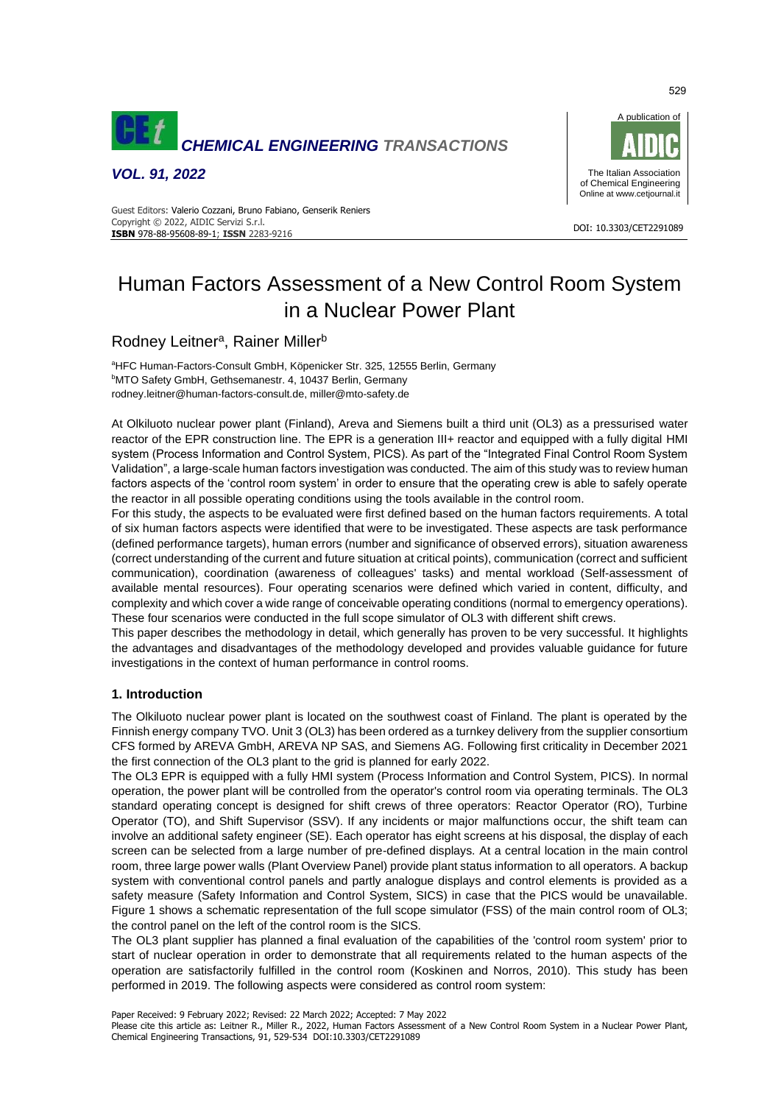

*VOL. 91, 2022*



#### DOI: 10.3303/CET2291089 **ISBN** 978-88-95608-89-1; **ISSN** 2283-9216 Guest Editors: Valerio Cozzani, Bruno Fabiano, Genserik Reniers Copyright © 2022, AIDIC Servizi S.r.l.

# Human Factors Assessment of a New Control Room System in a Nuclear Power Plant

## Rodney Leitner<sup>a</sup>, Rainer Miller<sup>b</sup>

<sup>a</sup>HFC Human-Factors-Consult GmbH, Köpenicker Str. 325, 12555 Berlin, Germany **bMTO Safety GmbH, Gethsemanestr. 4, 10437 Berlin, Germany** rodney.leitner@human-factors-consult.de, miller@mto-safety.de

At Olkiluoto nuclear power plant (Finland), Areva and Siemens built a third unit (OL3) as a pressurised water reactor of the EPR construction line. The EPR is a generation III+ reactor and equipped with a fully digital HMI system (Process Information and Control System, PICS). As part of the "Integrated Final Control Room System Validation", a large-scale human factors investigation was conducted. The aim of this study was to review human factors aspects of the 'control room system' in order to ensure that the operating crew is able to safely operate the reactor in all possible operating conditions using the tools available in the control room.

For this study, the aspects to be evaluated were first defined based on the human factors requirements. A total of six human factors aspects were identified that were to be investigated. These aspects are task performance (defined performance targets), human errors (number and significance of observed errors), situation awareness (correct understanding of the current and future situation at critical points), communication (correct and sufficient communication), coordination (awareness of colleagues' tasks) and mental workload (Self-assessment of available mental resources). Four operating scenarios were defined which varied in content, difficulty, and complexity and which cover a wide range of conceivable operating conditions (normal to emergency operations). These four scenarios were conducted in the full scope simulator of OL3 with different shift crews.

This paper describes the methodology in detail, which generally has proven to be very successful. It highlights the advantages and disadvantages of the methodology developed and provides valuable guidance for future investigations in the context of human performance in control rooms.

## **1. Introduction**

The Olkiluoto nuclear power plant is located on the southwest coast of Finland. The plant is operated by the Finnish energy company TVO. Unit 3 (OL3) has been ordered as a turnkey delivery from the supplier consortium CFS formed by AREVA GmbH, AREVA NP SAS, and Siemens AG. Following first criticality in December 2021 the first connection of the OL3 plant to the grid is planned for early 2022.

The OL3 EPR is equipped with a fully HMI system (Process Information and Control System, PICS). In normal operation, the power plant will be controlled from the operator's control room via operating terminals. The OL3 standard operating concept is designed for shift crews of three operators: Reactor Operator (RO), Turbine Operator (TO), and Shift Supervisor (SSV). If any incidents or major malfunctions occur, the shift team can involve an additional safety engineer (SE). Each operator has eight screens at his disposal, the display of each screen can be selected from a large number of pre-defined displays. At a central location in the main control room, three large power walls (Plant Overview Panel) provide plant status information to all operators. A backup system with conventional control panels and partly analogue displays and control elements is provided as a safety measure (Safety Information and Control System, SICS) in case that the PICS would be unavailable. Figure 1 shows a schematic representation of the full scope simulator (FSS) of the main control room of OL3; the control panel on the left of the control room is the SICS.

The OL3 plant supplier has planned a final evaluation of the capabilities of the 'control room system' prior to start of nuclear operation in order to demonstrate that all requirements related to the human aspects of the operation are satisfactorily fulfilled in the control room (Koskinen and Norros, 2010). This study has been performed in 2019. The following aspects were considered as control room system:

Please cite this article as: Leitner R., Miller R., 2022, Human Factors Assessment of a New Control Room System in a Nuclear Power Plant, Chemical Engineering Transactions, 91, 529-534 DOI:10.3303/CET2291089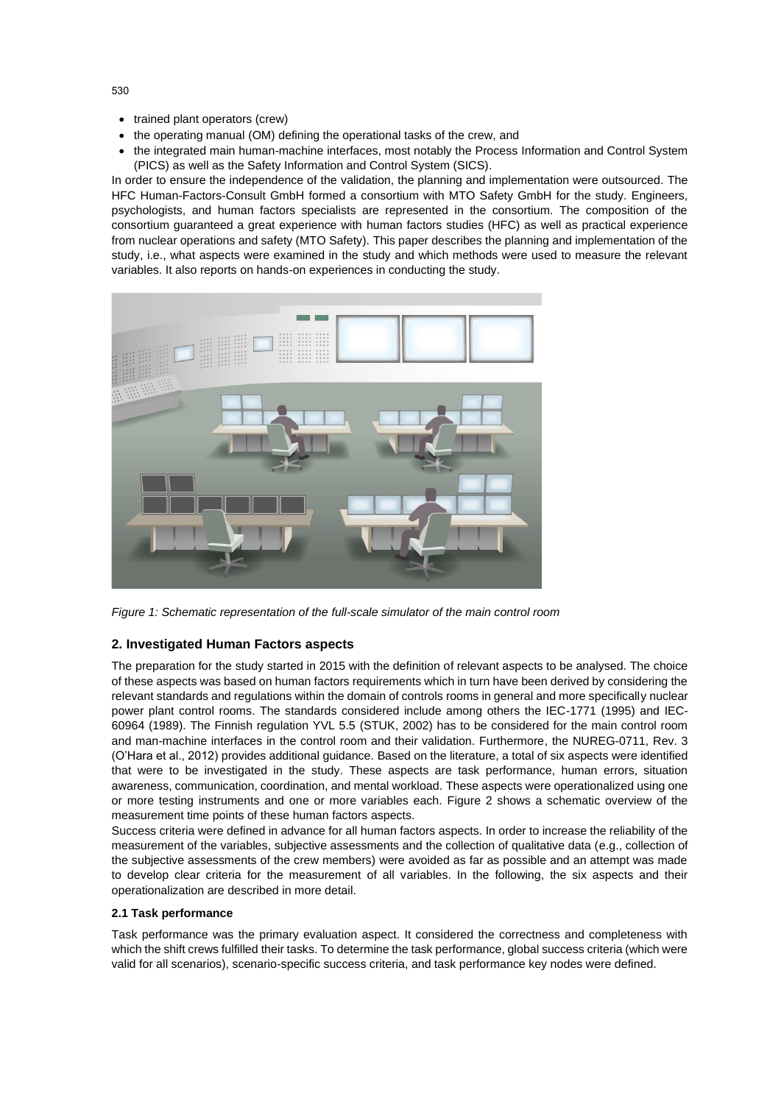- trained plant operators (crew)
- the operating manual (OM) defining the operational tasks of the crew, and
- the integrated main human-machine interfaces, most notably the Process Information and Control System (PICS) as well as the Safety Information and Control System (SICS).

In order to ensure the independence of the validation, the planning and implementation were outsourced. The HFC Human-Factors-Consult GmbH formed a consortium with MTO Safety GmbH for the study. Engineers, psychologists, and human factors specialists are represented in the consortium. The composition of the consortium guaranteed a great experience with human factors studies (HFC) as well as practical experience from nuclear operations and safety (MTO Safety). This paper describes the planning and implementation of the study, i.e., what aspects were examined in the study and which methods were used to measure the relevant variables. It also reports on hands-on experiences in conducting the study.



*Figure 1: Schematic representation of the full-scale simulator of the main control room* 

#### **2. Investigated Human Factors aspects**

The preparation for the study started in 2015 with the definition of relevant aspects to be analysed. The choice of these aspects was based on human factors requirements which in turn have been derived by considering the relevant standards and regulations within the domain of controls rooms in general and more specifically nuclear power plant control rooms. The standards considered include among others the IEC-1771 (1995) and IEC-60964 (1989). The Finnish regulation YVL 5.5 (STUK, 2002) has to be considered for the main control room and man-machine interfaces in the control room and their validation. Furthermore, the NUREG-0711, Rev. 3 (O'Hara et al., 2012) provides additional guidance. Based on the literature, a total of six aspects were identified that were to be investigated in the study. These aspects are task performance, human errors, situation awareness, communication, coordination, and mental workload. These aspects were operationalized using one or more testing instruments and one or more variables each. Figure 2 shows a schematic overview of the measurement time points of these human factors aspects.

Success criteria were defined in advance for all human factors aspects. In order to increase the reliability of the measurement of the variables, subjective assessments and the collection of qualitative data (e.g., collection of the subjective assessments of the crew members) were avoided as far as possible and an attempt was made to develop clear criteria for the measurement of all variables. In the following, the six aspects and their operationalization are described in more detail.

#### **2.1 Task performance**

Task performance was the primary evaluation aspect. It considered the correctness and completeness with which the shift crews fulfilled their tasks. To determine the task performance, global success criteria (which were valid for all scenarios), scenario-specific success criteria, and task performance key nodes were defined.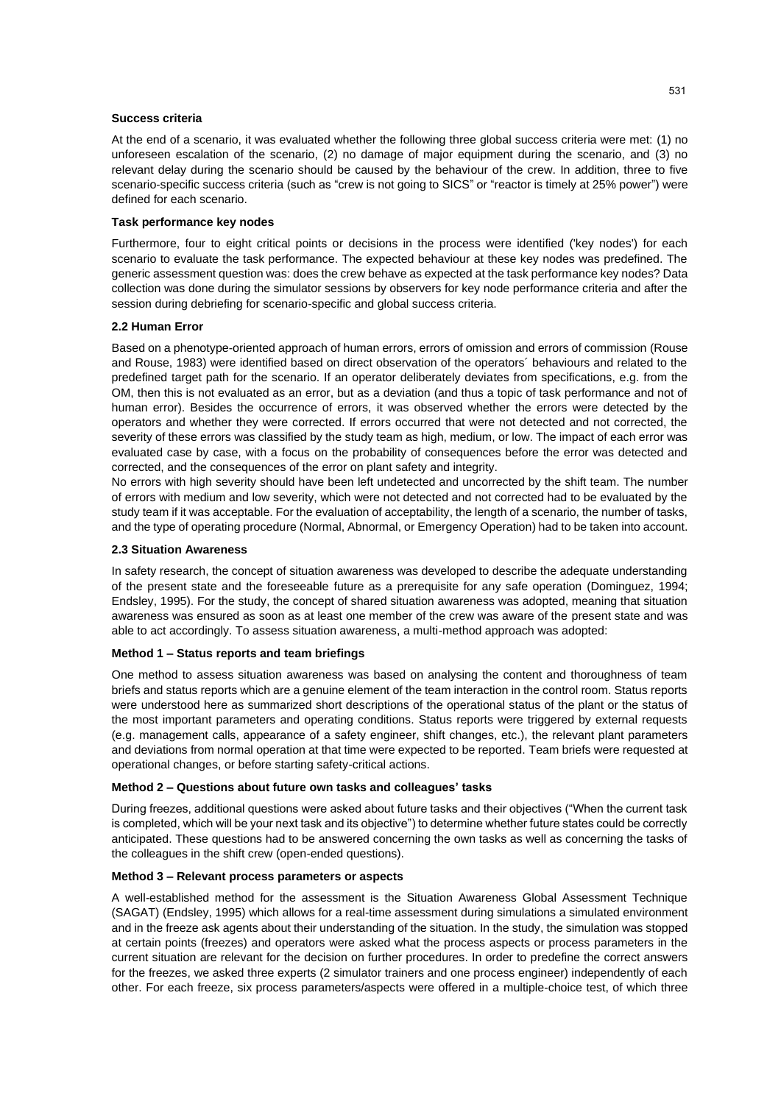#### **Success criteria**

At the end of a scenario, it was evaluated whether the following three global success criteria were met: (1) no unforeseen escalation of the scenario, (2) no damage of major equipment during the scenario, and (3) no relevant delay during the scenario should be caused by the behaviour of the crew. In addition, three to five scenario-specific success criteria (such as "crew is not going to SICS" or "reactor is timely at 25% power") were defined for each scenario.

#### **Task performance key nodes**

Furthermore, four to eight critical points or decisions in the process were identified ('key nodes') for each scenario to evaluate the task performance. The expected behaviour at these key nodes was predefined. The generic assessment question was: does the crew behave as expected at the task performance key nodes? Data collection was done during the simulator sessions by observers for key node performance criteria and after the session during debriefing for scenario-specific and global success criteria.

#### **2.2 Human Error**

Based on a phenotype-oriented approach of human errors, errors of omission and errors of commission (Rouse and Rouse, 1983) were identified based on direct observation of the operators´ behaviours and related to the predefined target path for the scenario. If an operator deliberately deviates from specifications, e.g. from the OM, then this is not evaluated as an error, but as a deviation (and thus a topic of task performance and not of human error). Besides the occurrence of errors, it was observed whether the errors were detected by the operators and whether they were corrected. If errors occurred that were not detected and not corrected, the severity of these errors was classified by the study team as high, medium, or low. The impact of each error was evaluated case by case, with a focus on the probability of consequences before the error was detected and corrected, and the consequences of the error on plant safety and integrity.

No errors with high severity should have been left undetected and uncorrected by the shift team. The number of errors with medium and low severity, which were not detected and not corrected had to be evaluated by the study team if it was acceptable. For the evaluation of acceptability, the length of a scenario, the number of tasks, and the type of operating procedure (Normal, Abnormal, or Emergency Operation) had to be taken into account.

#### **2.3 Situation Awareness**

In safety research, the concept of situation awareness was developed to describe the adequate understanding of the present state and the foreseeable future as a prerequisite for any safe operation (Dominguez, 1994; Endsley, 1995). For the study, the concept of shared situation awareness was adopted, meaning that situation awareness was ensured as soon as at least one member of the crew was aware of the present state and was able to act accordingly. To assess situation awareness, a multi-method approach was adopted:

#### **Method 1 – Status reports and team briefings**

One method to assess situation awareness was based on analysing the content and thoroughness of team briefs and status reports which are a genuine element of the team interaction in the control room. Status reports were understood here as summarized short descriptions of the operational status of the plant or the status of the most important parameters and operating conditions. Status reports were triggered by external requests (e.g. management calls, appearance of a safety engineer, shift changes, etc.), the relevant plant parameters and deviations from normal operation at that time were expected to be reported. Team briefs were requested at operational changes, or before starting safety-critical actions.

#### **Method 2 – Questions about future own tasks and colleagues' tasks**

During freezes, additional questions were asked about future tasks and their objectives ("When the current task is completed, which will be your next task and its objective") to determine whether future states could be correctly anticipated. These questions had to be answered concerning the own tasks as well as concerning the tasks of the colleagues in the shift crew (open-ended questions).

#### **Method 3 – Relevant process parameters or aspects**

A well-established method for the assessment is the Situation Awareness Global Assessment Technique (SAGAT) (Endsley, 1995) which allows for a real-time assessment during simulations a simulated environment and in the freeze ask agents about their understanding of the situation. In the study, the simulation was stopped at certain points (freezes) and operators were asked what the process aspects or process parameters in the current situation are relevant for the decision on further procedures. In order to predefine the correct answers for the freezes, we asked three experts (2 simulator trainers and one process engineer) independently of each other. For each freeze, six process parameters/aspects were offered in a multiple-choice test, of which three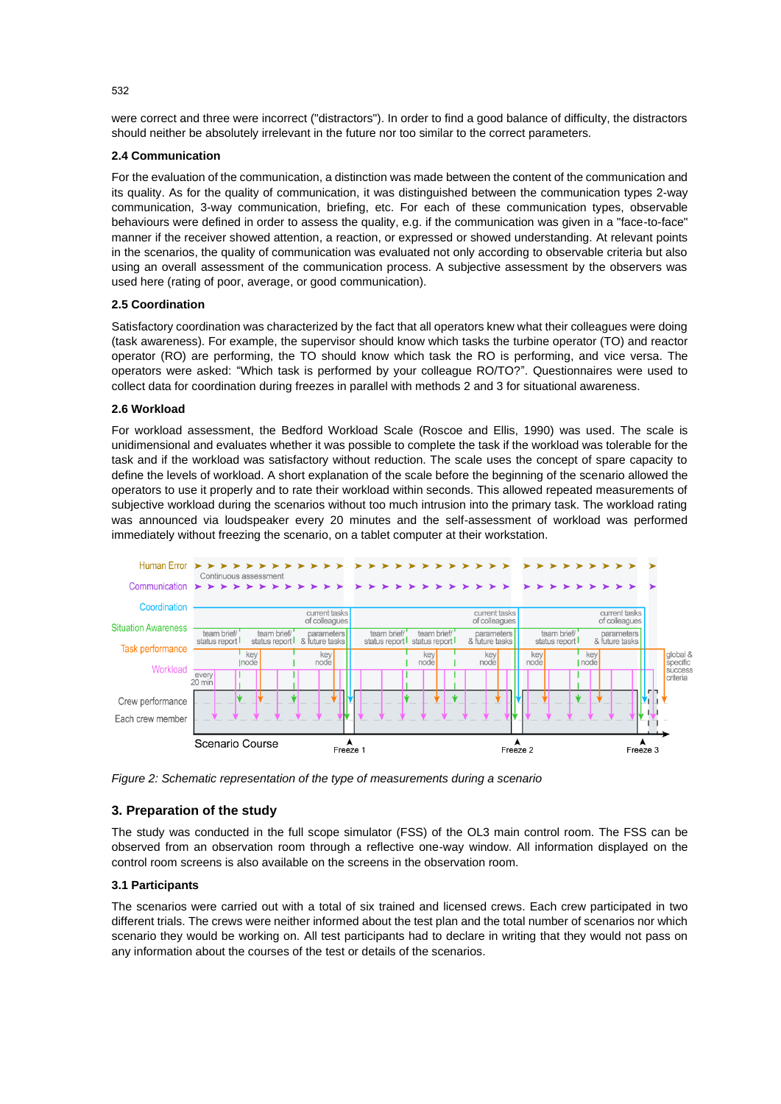were correct and three were incorrect ("distractors"). In order to find a good balance of difficulty, the distractors should neither be absolutely irrelevant in the future nor too similar to the correct parameters.

#### **2.4 Communication**

For the evaluation of the communication, a distinction was made between the content of the communication and its quality. As for the quality of communication, it was distinguished between the communication types 2-way communication, 3-way communication, briefing, etc. For each of these communication types, observable behaviours were defined in order to assess the quality, e.g. if the communication was given in a "face-to-face" manner if the receiver showed attention, a reaction, or expressed or showed understanding. At relevant points in the scenarios, the quality of communication was evaluated not only according to observable criteria but also using an overall assessment of the communication process. A subjective assessment by the observers was used here (rating of poor, average, or good communication).

#### **2.5 Coordination**

Satisfactory coordination was characterized by the fact that all operators knew what their colleagues were doing (task awareness). For example, the supervisor should know which tasks the turbine operator (TO) and reactor operator (RO) are performing, the TO should know which task the RO is performing, and vice versa. The operators were asked: "Which task is performed by your colleague RO/TO?". Questionnaires were used to collect data for coordination during freezes in parallel with methods 2 and 3 for situational awareness.

#### **2.6 Workload**

For workload assessment, the Bedford Workload Scale (Roscoe and Ellis, 1990) was used. The scale is unidimensional and evaluates whether it was possible to complete the task if the workload was tolerable for the task and if the workload was satisfactory without reduction. The scale uses the concept of spare capacity to define the levels of workload. A short explanation of the scale before the beginning of the scenario allowed the operators to use it properly and to rate their workload within seconds. This allowed repeated measurements of subjective workload during the scenarios without too much intrusion into the primary task. The workload rating was announced via loudspeaker every 20 minutes and the self-assessment of workload was performed immediately without freezing the scenario, on a tablet computer at their workstation.



*Figure 2: Schematic representation of the type of measurements during a scenario*

#### **3. Preparation of the study**

The study was conducted in the full scope simulator (FSS) of the OL3 main control room. The FSS can be observed from an observation room through a reflective one-way window. All information displayed on the control room screens is also available on the screens in the observation room.

#### **3.1 Participants**

The scenarios were carried out with a total of six trained and licensed crews. Each crew participated in two different trials. The crews were neither informed about the test plan and the total number of scenarios nor which scenario they would be working on. All test participants had to declare in writing that they would not pass on any information about the courses of the test or details of the scenarios.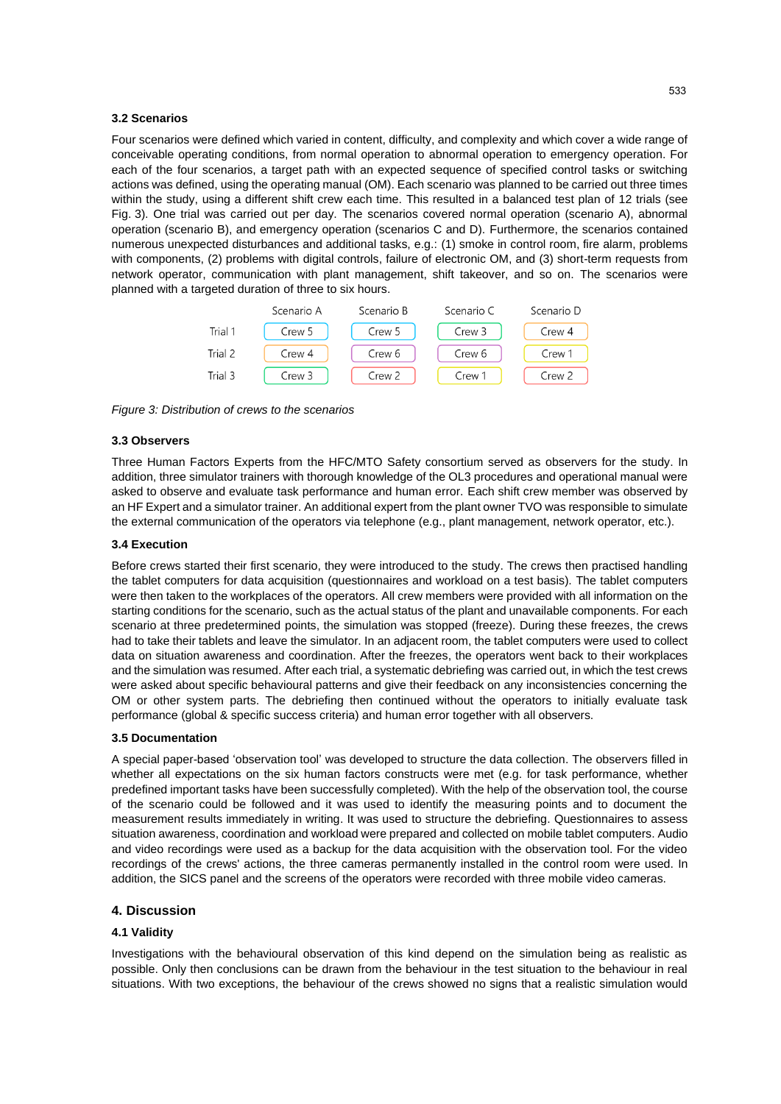#### **3.2 Scenarios**

Four scenarios were defined which varied in content, difficulty, and complexity and which cover a wide range of conceivable operating conditions, from normal operation to abnormal operation to emergency operation. For each of the four scenarios, a target path with an expected sequence of specified control tasks or switching actions was defined, using the operating manual (OM). Each scenario was planned to be carried out three times within the study, using a different shift crew each time. This resulted in a balanced test plan of 12 trials (see Fig. 3). One trial was carried out per day. The scenarios covered normal operation (scenario A), abnormal operation (scenario B), and emergency operation (scenarios C and D). Furthermore, the scenarios contained numerous unexpected disturbances and additional tasks, e.g.: (1) smoke in control room, fire alarm, problems with components, (2) problems with digital controls, failure of electronic OM, and (3) short-term requests from network operator, communication with plant management, shift takeover, and so on. The scenarios were planned with a targeted duration of three to six hours.



*Figure 3: Distribution of crews to the scenarios*

#### **3.3 Observers**

Three Human Factors Experts from the HFC/MTO Safety consortium served as observers for the study. In addition, three simulator trainers with thorough knowledge of the OL3 procedures and operational manual were asked to observe and evaluate task performance and human error. Each shift crew member was observed by an HF Expert and a simulator trainer. An additional expert from the plant owner TVO was responsible to simulate the external communication of the operators via telephone (e.g., plant management, network operator, etc.).

#### **3.4 Execution**

Before crews started their first scenario, they were introduced to the study. The crews then practised handling the tablet computers for data acquisition (questionnaires and workload on a test basis). The tablet computers were then taken to the workplaces of the operators. All crew members were provided with all information on the starting conditions for the scenario, such as the actual status of the plant and unavailable components. For each scenario at three predetermined points, the simulation was stopped (freeze). During these freezes, the crews had to take their tablets and leave the simulator. In an adjacent room, the tablet computers were used to collect data on situation awareness and coordination. After the freezes, the operators went back to their workplaces and the simulation was resumed. After each trial, a systematic debriefing was carried out, in which the test crews were asked about specific behavioural patterns and give their feedback on any inconsistencies concerning the OM or other system parts. The debriefing then continued without the operators to initially evaluate task performance (global & specific success criteria) and human error together with all observers.

#### **3.5 Documentation**

A special paper-based 'observation tool' was developed to structure the data collection. The observers filled in whether all expectations on the six human factors constructs were met (e.g. for task performance, whether predefined important tasks have been successfully completed). With the help of the observation tool, the course of the scenario could be followed and it was used to identify the measuring points and to document the measurement results immediately in writing. It was used to structure the debriefing. Questionnaires to assess situation awareness, coordination and workload were prepared and collected on mobile tablet computers. Audio and video recordings were used as a backup for the data acquisition with the observation tool. For the video recordings of the crews' actions, the three cameras permanently installed in the control room were used. In addition, the SICS panel and the screens of the operators were recorded with three mobile video cameras.

## **4. Discussion**

#### **4.1 Validity**

Investigations with the behavioural observation of this kind depend on the simulation being as realistic as possible. Only then conclusions can be drawn from the behaviour in the test situation to the behaviour in real situations. With two exceptions, the behaviour of the crews showed no signs that a realistic simulation would